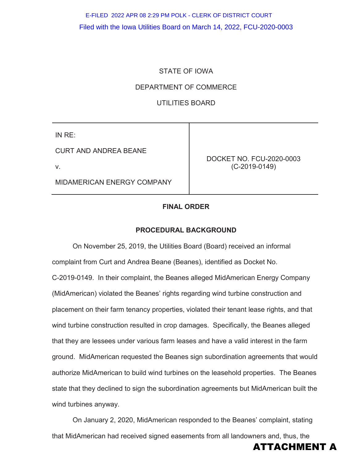# Filed with the Iowa Utilities Board on March 14, 2022, FCU-2020-0003 E-FILED 2022 APR 08 2:29 PM POLK - CLERK OF DISTRICT COURT

### STATE OF IOWA

### DEPARTMENT OF COMMERCE

### UTILITIES BOARD

IN RE:

CURT AND ANDREA BEANE

v.

MIDAMERICAN ENERGY COMPANY

DOCKET NO. FCU-2020-0003 (C-2019-0149)

### **FINAL ORDER**

#### **PROCEDURAL BACKGROUND**

On November 25, 2019, the Utilities Board (Board) received an informal complaint from Curt and Andrea Beane (Beanes), identified as Docket No. C-2019-0149. In their complaint, the Beanes alleged MidAmerican Energy Company (MidAmerican) violated the Beanes' rights regarding wind turbine construction and placement on their farm tenancy properties, violated their tenant lease rights, and that wind turbine construction resulted in crop damages. Specifically, the Beanes alleged that they are lessees under various farm leases and have a valid interest in the farm ground. MidAmerican requested the Beanes sign subordination agreements that would authorize MidAmerican to build wind turbines on the leasehold properties. The Beanes state that they declined to sign the subordination agreements but MidAmerican built the wind turbines anyway.

On January 2, 2020, MidAmerican responded to the Beanes' complaint, stating that MidAmerican had received signed easements from all landowners and, thus, the

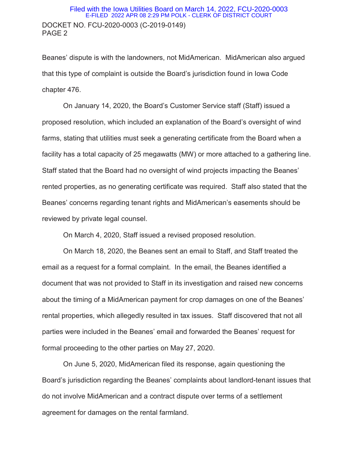Beanes' dispute is with the landowners, not MidAmerican. MidAmerican also argued that this type of complaint is outside the Board's jurisdiction found in Iowa Code chapter 476.

On January 14, 2020, the Board's Customer Service staff (Staff) issued a proposed resolution, which included an explanation of the Board's oversight of wind farms, stating that utilities must seek a generating certificate from the Board when a facility has a total capacity of 25 megawatts (MW) or more attached to a gathering line. Staff stated that the Board had no oversight of wind projects impacting the Beanes' rented properties, as no generating certificate was required. Staff also stated that the Beanes' concerns regarding tenant rights and MidAmerican's easements should be reviewed by private legal counsel.

On March 4, 2020, Staff issued a revised proposed resolution.

On March 18, 2020, the Beanes sent an email to Staff, and Staff treated the email as a request for a formal complaint. In the email, the Beanes identified a document that was not provided to Staff in its investigation and raised new concerns about the timing of a MidAmerican payment for crop damages on one of the Beanes' rental properties, which allegedly resulted in tax issues. Staff discovered that not all parties were included in the Beanes' email and forwarded the Beanes' request for formal proceeding to the other parties on May 27, 2020.

On June 5, 2020, MidAmerican filed its response, again questioning the Board's jurisdiction regarding the Beanes' complaints about landlord-tenant issues that do not involve MidAmerican and a contract dispute over terms of a settlement agreement for damages on the rental farmland.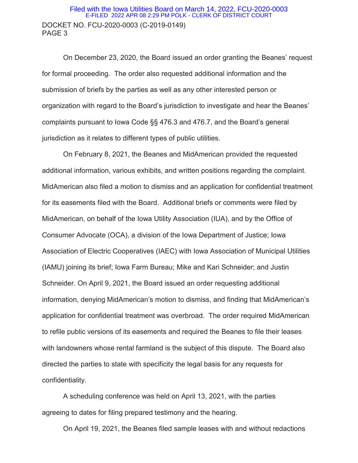### DOCKET NO. FCU-2020-0003 (C-2019-0149) PAGE 3 Filed with the Iowa Utilities Board on March 14, 2022, FCU-2020-0003 E-FILED 2022 APR 08 2:29 PM POLK - CLERK OF DISTRICT COURT

 On December 23, 2020, the Board issued an order granting the Beanes' request for formal proceeding. The order also requested additional information and the submission of briefs by the parties as well as any other interested person or organization with regard to the Board's jurisdiction to investigate and hear the Beanes' complaints pursuant to Iowa Code §§ 476.3 and 476.7, and the Board's general jurisdiction as it relates to different types of public utilities.

On February 8, 2021, the Beanes and MidAmerican provided the requested additional information, various exhibits, and written positions regarding the complaint. MidAmerican also filed a motion to dismiss and an application for confidential treatment for its easements filed with the Board. Additional briefs or comments were filed by MidAmerican, on behalf of the Iowa Utility Association (IUA), and by the Office of Consumer Advocate (OCA), a division of the Iowa Department of Justice; Iowa Association of Electric Cooperatives (IAEC) with Iowa Association of Municipal Utilities (IAMU) joining its brief; Iowa Farm Bureau; Mike and Kari Schneider; and Justin Schneider. On April 9, 2021, the Board issued an order requesting additional information, denying MidAmerican's motion to dismiss, and finding that MidAmerican's application for confidential treatment was overbroad. The order required MidAmerican to refile public versions of its easements and required the Beanes to file their leases with landowners whose rental farmland is the subject of this dispute. The Board also directed the parties to state with specificity the legal basis for any requests for confidentiality.

A scheduling conference was held on April 13, 2021, with the parties agreeing to dates for filing prepared testimony and the hearing.

On April 19, 2021, the Beanes filed sample leases with and without redactions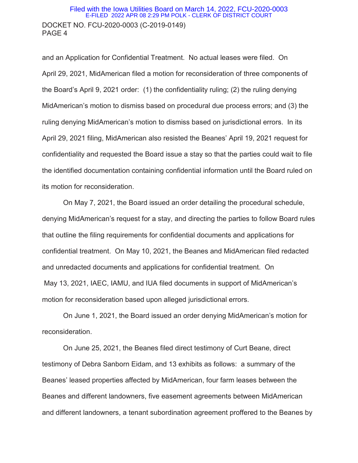### DOCKET NO. FCU-2020-0003 (C-2019-0149) PAGE 4 Filed with the Iowa Utilities Board on March 14, 2022, FCU-2020-0003 E-FILED 2022 APR 08 2:29 PM POLK - CLERK OF DISTRICT COURT

and an Application for Confidential Treatment. No actual leases were filed. On April 29, 2021, MidAmerican filed a motion for reconsideration of three components of the Board's April 9, 2021 order: (1) the confidentiality ruling; (2) the ruling denying MidAmerican's motion to dismiss based on procedural due process errors; and (3) the ruling denying MidAmerican's motion to dismiss based on jurisdictional errors. In its April 29, 2021 filing, MidAmerican also resisted the Beanes' April 19, 2021 request for confidentiality and requested the Board issue a stay so that the parties could wait to file the identified documentation containing confidential information until the Board ruled on its motion for reconsideration.

On May 7, 2021, the Board issued an order detailing the procedural schedule, denying MidAmerican's request for a stay, and directing the parties to follow Board rules that outline the filing requirements for confidential documents and applications for confidential treatment. On May 10, 2021, the Beanes and MidAmerican filed redacted and unredacted documents and applications for confidential treatment. On May 13, 2021, IAEC, IAMU, and IUA filed documents in support of MidAmerican's motion for reconsideration based upon alleged jurisdictional errors.

 On June 1, 2021, the Board issued an order denying MidAmerican's motion for reconsideration.

 On June 25, 2021, the Beanes filed direct testimony of Curt Beane, direct testimony of Debra Sanborn Eidam, and 13 exhibits as follows: a summary of the Beanes' leased properties affected by MidAmerican, four farm leases between the Beanes and different landowners, five easement agreements between MidAmerican and different landowners, a tenant subordination agreement proffered to the Beanes by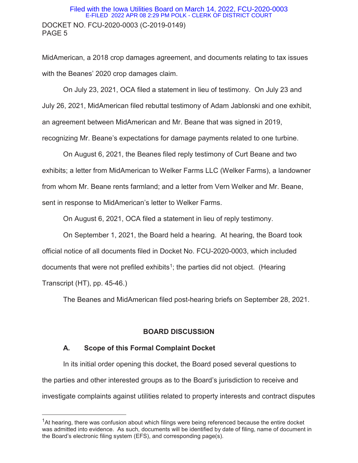### DOCKET NO. FCU-2020-0003 (C-2019-0149) PAGE 5 Filed with the Iowa Utilities Board on March 14, 2022, FCU-2020-0003 E-FILED 2022 APR 08 2:29 PM POLK - CLERK OF DISTRICT COURT

MidAmerican, a 2018 crop damages agreement, and documents relating to tax issues with the Beanes' 2020 crop damages claim.

On July 23, 2021, OCA filed a statement in lieu of testimony. On July 23 and July 26, 2021, MidAmerican filed rebuttal testimony of Adam Jablonski and one exhibit, an agreement between MidAmerican and Mr. Beane that was signed in 2019, recognizing Mr. Beane's expectations for damage payments related to one turbine.

On August 6, 2021, the Beanes filed reply testimony of Curt Beane and two exhibits; a letter from MidAmerican to Welker Farms LLC (Welker Farms), a landowner from whom Mr. Beane rents farmland; and a letter from Vern Welker and Mr. Beane, sent in response to MidAmerican's letter to Welker Farms.

On August 6, 2021, OCA filed a statement in lieu of reply testimony.

On September 1, 2021, the Board held a hearing. At hearing, the Board took official notice of all documents filed in Docket No. FCU-2020-0003, which included documents that were not prefiled exhibits<sup>1</sup>; the parties did not object. (Hearing Transcript (HT), pp. 45-46.)

The Beanes and MidAmerican filed post-hearing briefs on September 28, 2021.

# **BOARD DISCUSSION**

## **A. Scope of this Formal Complaint Docket**

 $\overline{a}$ 

In its initial order opening this docket, the Board posed several questions to the parties and other interested groups as to the Board's jurisdiction to receive and investigate complaints against utilities related to property interests and contract disputes

 $1$ At hearing, there was confusion about which filings were being referenced because the entire docket was admitted into evidence. As such, documents will be identified by date of filing, name of document in the Board's electronic filing system (EFS), and corresponding page(s).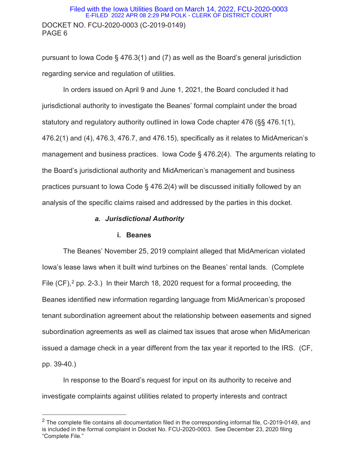### DOCKET NO. FCU-2020-0003 (C-2019-0149) PAGE 6 Filed with the Iowa Utilities Board on March 14, 2022, FCU-2020-0003 E-FILED 2022 APR 08 2:29 PM POLK - CLERK OF DISTRICT COURT

pursuant to Iowa Code § 476.3(1) and (7) as well as the Board's general jurisdiction regarding service and regulation of utilities.

In orders issued on April 9 and June 1, 2021, the Board concluded it had jurisdictional authority to investigate the Beanes' formal complaint under the broad statutory and regulatory authority outlined in Iowa Code chapter 476 (§§ 476.1(1), 476.2(1) and (4), 476.3, 476.7, and 476.15), specifically as it relates to MidAmerican's management and business practices. Iowa Code § 476.2(4). The arguments relating to the Board's jurisdictional authority and MidAmerican's management and business practices pursuant to Iowa Code § 476.2(4) will be discussed initially followed by an analysis of the specific claims raised and addressed by the parties in this docket.

#### *a. Jurisdictional Authority*

#### **i. Beanes**

 $\overline{a}$ 

The Beanes' November 25, 2019 complaint alleged that MidAmerican violated Iowa's lease laws when it built wind turbines on the Beanes' rental lands. (Complete File  $(CF)$ ,  $^2$  pp. 2-3.) In their March 18, 2020 request for a formal proceeding, the Beanes identified new information regarding language from MidAmerican's proposed tenant subordination agreement about the relationship between easements and signed subordination agreements as well as claimed tax issues that arose when MidAmerican issued a damage check in a year different from the tax year it reported to the IRS. (CF, pp. 39-40.)

In response to the Board's request for input on its authority to receive and investigate complaints against utilities related to property interests and contract

 $2$  The complete file contains all documentation filed in the corresponding informal file, C-2019-0149, and is included in the formal complaint in Docket No. FCU-2020-0003. See December 23, 2020 filing "Complete File."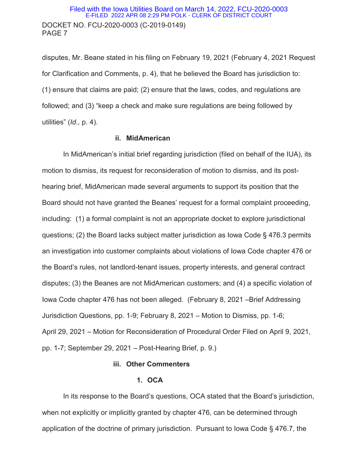### DOCKET NO. FCU-2020-0003 (C-2019-0149) PAGE 7 Filed with the Iowa Utilities Board on March 14, 2022, FCU-2020-0003 E-FILED 2022 APR 08 2:29 PM POLK - CLERK OF DISTRICT COURT

disputes, Mr. Beane stated in his filing on February 19, 2021 (February 4, 2021 Request for Clarification and Comments, p. 4), that he believed the Board has jurisdiction to: (1) ensure that claims are paid; (2) ensure that the laws, codes, and regulations are followed; and (3) "keep a check and make sure regulations are being followed by utilities" (*Id.,* p. 4).

### **ii. MidAmerican**

In MidAmerican's initial brief regarding jurisdiction (filed on behalf of the IUA), its motion to dismiss, its request for reconsideration of motion to dismiss, and its posthearing brief, MidAmerican made several arguments to support its position that the Board should not have granted the Beanes' request for a formal complaint proceeding, including: (1) a formal complaint is not an appropriate docket to explore jurisdictional questions; (2) the Board lacks subject matter jurisdiction as Iowa Code § 476.3 permits an investigation into customer complaints about violations of Iowa Code chapter 476 or the Board's rules, not landlord-tenant issues, property interests, and general contract disputes; (3) the Beanes are not MidAmerican customers; and (4) a specific violation of Iowa Code chapter 476 has not been alleged. (February 8, 2021 –Brief Addressing Jurisdiction Questions, pp. 1-9; February 8, 2021 – Motion to Dismiss, pp. 1-6; April 29, 2021 – Motion for Reconsideration of Procedural Order Filed on April 9, 2021, pp. 1-7; September 29, 2021 – Post-Hearing Brief, p. 9.)

#### **iii. Other Commenters**

#### **1. OCA**

In its response to the Board's questions, OCA stated that the Board's jurisdiction, when not explicitly or implicitly granted by chapter 476, can be determined through application of the doctrine of primary jurisdiction. Pursuant to Iowa Code § 476.7, the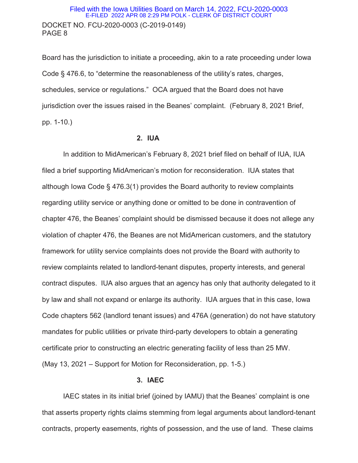Board has the jurisdiction to initiate a proceeding, akin to a rate proceeding under Iowa Code § 476.6, to "determine the reasonableness of the utility's rates, charges, schedules, service or regulations." OCA argued that the Board does not have jurisdiction over the issues raised in the Beanes' complaint. (February 8, 2021 Brief, pp. 1-10.)

#### **2. IUA**

In addition to MidAmerican's February 8, 2021 brief filed on behalf of IUA, IUA filed a brief supporting MidAmerican's motion for reconsideration. IUA states that although Iowa Code § 476.3(1) provides the Board authority to review complaints regarding utility service or anything done or omitted to be done in contravention of chapter 476, the Beanes' complaint should be dismissed because it does not allege any violation of chapter 476, the Beanes are not MidAmerican customers, and the statutory framework for utility service complaints does not provide the Board with authority to review complaints related to landlord-tenant disputes, property interests, and general contract disputes. IUA also argues that an agency has only that authority delegated to it by law and shall not expand or enlarge its authority. IUA argues that in this case, Iowa Code chapters 562 (landlord tenant issues) and 476A (generation) do not have statutory mandates for public utilities or private third-party developers to obtain a generating certificate prior to constructing an electric generating facility of less than 25 MW. (May 13, 2021 – Support for Motion for Reconsideration, pp. 1-5.)

#### **3. IAEC**

IAEC states in its initial brief (joined by IAMU) that the Beanes' complaint is one that asserts property rights claims stemming from legal arguments about landlord-tenant contracts, property easements, rights of possession, and the use of land. These claims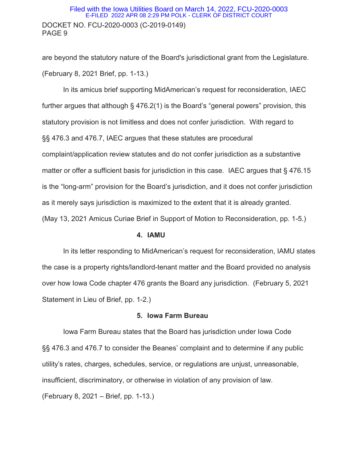### DOCKET NO. FCU-2020-0003 (C-2019-0149) PAGE 9 Filed with the Iowa Utilities Board on March 14, 2022, FCU-2020-0003 E-FILED 2022 APR 08 2:29 PM POLK - CLERK OF DISTRICT COURT

are beyond the statutory nature of the Board's jurisdictional grant from the Legislature. (February 8, 2021 Brief, pp. 1-13.)

In its amicus brief supporting MidAmerican's request for reconsideration, IAEC further argues that although § 476.2(1) is the Board's "general powers" provision, this statutory provision is not limitless and does not confer jurisdiction. With regard to §§ 476.3 and 476.7, IAEC argues that these statutes are procedural complaint/application review statutes and do not confer jurisdiction as a substantive matter or offer a sufficient basis for jurisdiction in this case. IAEC argues that § 476.15 is the "long-arm" provision for the Board's jurisdiction, and it does not confer jurisdiction as it merely says jurisdiction is maximized to the extent that it is already granted. (May 13, 2021 Amicus Curiae Brief in Support of Motion to Reconsideration, pp. 1-5.)

### **4. IAMU**

In its letter responding to MidAmerican's request for reconsideration, IAMU states the case is a property rights/landlord-tenant matter and the Board provided no analysis over how Iowa Code chapter 476 grants the Board any jurisdiction. (February 5, 2021 Statement in Lieu of Brief, pp. 1-2.)

#### **5. Iowa Farm Bureau**

Iowa Farm Bureau states that the Board has jurisdiction under Iowa Code §§ 476.3 and 476.7 to consider the Beanes' complaint and to determine if any public utility's rates, charges, schedules, service, or regulations are unjust, unreasonable, insufficient, discriminatory, or otherwise in violation of any provision of law. (February 8, 2021 – Brief, pp. 1-13.)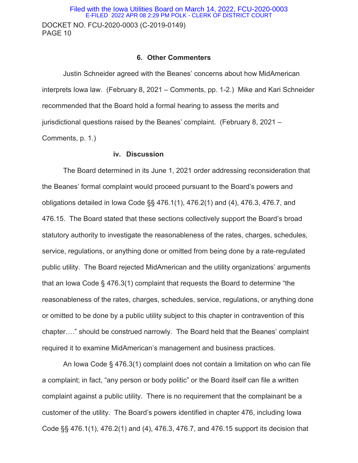DOCKET NO. FCU-2020-0003 (C-2019-0149) PAGE 10 Filed with the Iowa Utilities Board on March 14, 2022, FCU-2020-0003 E-FILED 2022 APR 08 2:29 PM POLK - CLERK OF DISTRICT COURT

### **6. Other Commenters**

Justin Schneider agreed with the Beanes' concerns about how MidAmerican interprets Iowa law. (February 8, 2021 – Comments, pp. 1-2.) Mike and Kari Schneider recommended that the Board hold a formal hearing to assess the merits and jurisdictional questions raised by the Beanes' complaint. (February 8, 2021 – Comments, p. 1.)

#### **iv. Discussion**

The Board determined in its June 1, 2021 order addressing reconsideration that the Beanes' formal complaint would proceed pursuant to the Board's powers and obligations detailed in Iowa Code §§ 476.1(1), 476.2(1) and (4), 476.3, 476.7, and 476.15. The Board stated that these sections collectively support the Board's broad statutory authority to investigate the reasonableness of the rates, charges, schedules, service, regulations, or anything done or omitted from being done by a rate-regulated public utility. The Board rejected MidAmerican and the utility organizations' arguments that an Iowa Code § 476.3(1) complaint that requests the Board to determine "the reasonableness of the rates, charges, schedules, service, regulations, or anything done or omitted to be done by a public utility subject to this chapter in contravention of this chapter…." should be construed narrowly. The Board held that the Beanes' complaint required it to examine MidAmerican's management and business practices.

An Iowa Code § 476.3(1) complaint does not contain a limitation on who can file a complaint; in fact, "any person or body politic" or the Board itself can file a written complaint against a public utility. There is no requirement that the complainant be a customer of the utility. The Board's powers identified in chapter 476, including Iowa Code §§ 476.1(1), 476.2(1) and (4), 476.3, 476.7, and 476.15 support its decision that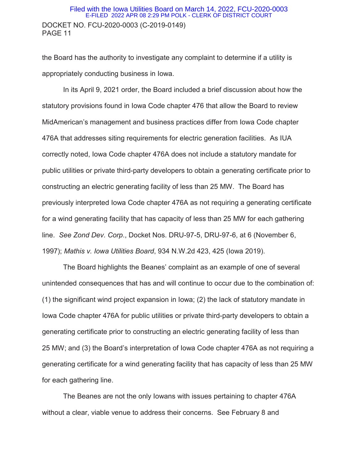### DOCKET NO. FCU-2020-0003 (C-2019-0149) PAGE 11 Filed with the Iowa Utilities Board on March 14, 2022, FCU-2020-0003 E-FILED 2022 APR 08 2:29 PM POLK - CLERK OF DISTRICT COURT

the Board has the authority to investigate any complaint to determine if a utility is appropriately conducting business in Iowa.

In its April 9, 2021 order, the Board included a brief discussion about how the statutory provisions found in Iowa Code chapter 476 that allow the Board to review MidAmerican's management and business practices differ from Iowa Code chapter 476A that addresses siting requirements for electric generation facilities. As IUA correctly noted, Iowa Code chapter 476A does not include a statutory mandate for public utilities or private third-party developers to obtain a generating certificate prior to constructing an electric generating facility of less than 25 MW. The Board has previously interpreted Iowa Code chapter 476A as not requiring a generating certificate for a wind generating facility that has capacity of less than 25 MW for each gathering line. *See Zond Dev. Corp*., Docket Nos. DRU-97-5, DRU-97-6, at 6 (November 6, 1997); *Mathis v. Iowa Utilities Board*, 934 N.W.2d 423, 425 (Iowa 2019).

The Board highlights the Beanes' complaint as an example of one of several unintended consequences that has and will continue to occur due to the combination of: (1) the significant wind project expansion in Iowa; (2) the lack of statutory mandate in Iowa Code chapter 476A for public utilities or private third-party developers to obtain a generating certificate prior to constructing an electric generating facility of less than 25 MW; and (3) the Board's interpretation of Iowa Code chapter 476A as not requiring a generating certificate for a wind generating facility that has capacity of less than 25 MW for each gathering line.

The Beanes are not the only Iowans with issues pertaining to chapter 476A without a clear, viable venue to address their concerns. See February 8 and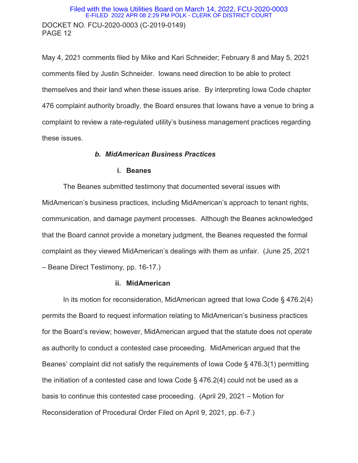### DOCKET NO. FCU-2020-0003 (C-2019-0149) PAGE 12 Filed with the Iowa Utilities Board on March 14, 2022, FCU-2020-0003 E-FILED 2022 APR 08 2:29 PM POLK - CLERK OF DISTRICT COURT

May 4, 2021 comments filed by Mike and Kari Schneider; February 8 and May 5, 2021 comments filed by Justin Schneider. Iowans need direction to be able to protect themselves and their land when these issues arise. By interpreting Iowa Code chapter 476 complaint authority broadly, the Board ensures that Iowans have a venue to bring a complaint to review a rate-regulated utility's business management practices regarding these issues.

#### *b. MidAmerican Business Practices*

#### **i. Beanes**

The Beanes submitted testimony that documented several issues with MidAmerican's business practices, including MidAmerican's approach to tenant rights, communication, and damage payment processes. Although the Beanes acknowledged that the Board cannot provide a monetary judgment, the Beanes requested the formal complaint as they viewed MidAmerican's dealings with them as unfair. (June 25, 2021 – Beane Direct Testimony, pp. 16-17.)

#### **ii. MidAmerican**

 In its motion for reconsideration, MidAmerican agreed that Iowa Code § 476.2(4) permits the Board to request information relating to MidAmerican's business practices for the Board's review; however, MidAmerican argued that the statute does not operate as authority to conduct a contested case proceeding. MidAmerican argued that the Beanes' complaint did not satisfy the requirements of Iowa Code § 476.3(1) permitting the initiation of a contested case and Iowa Code § 476.2(4) could not be used as a basis to continue this contested case proceeding. (April 29, 2021 – Motion for Reconsideration of Procedural Order Filed on April 9, 2021, pp. 6-7.)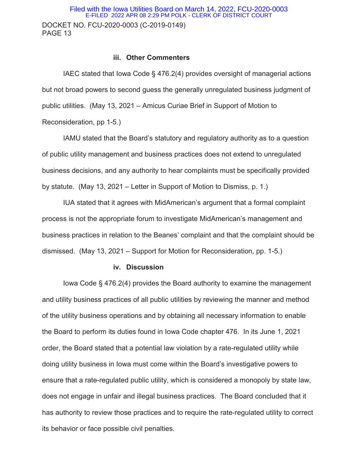# DOCKET NO. FCU-2020-0003 (C-2019-0149) PAGE 13 Filed with the Iowa Utilities Board on March 14, 2022, FCU-2020-0003 E-FILED 2022 APR 08 2:29 PM POLK - CLERK OF DISTRICT COURT

#### **iii. Other Commenters**

IAEC stated that Iowa Code § 476.2(4) provides oversight of managerial actions but not broad powers to second guess the generally unregulated business judgment of public utilities. (May 13, 2021 – Amicus Curiae Brief in Support of Motion to Reconsideration, pp 1-5.)

IAMU stated that the Board's statutory and regulatory authority as to a question of public utility management and business practices does not extend to unregulated business decisions, and any authority to hear complaints must be specifically provided by statute. (May 13, 2021 – Letter in Support of Motion to Dismiss, p. 1.)

IUA stated that it agrees with MidAmerican's argument that a formal complaint process is not the appropriate forum to investigate MidAmerican's management and business practices in relation to the Beanes' complaint and that the complaint should be dismissed. (May 13, 2021 – Support for Motion for Reconsideration, pp. 1-5.)

#### **iv. Discussion**

Iowa Code § 476.2(4) provides the Board authority to examine the management and utility business practices of all public utilities by reviewing the manner and method of the utility business operations and by obtaining all necessary information to enable the Board to perform its duties found in Iowa Code chapter 476. In its June 1, 2021 order, the Board stated that a potential law violation by a rate-regulated utility while doing utility business in Iowa must come within the Board's investigative powers to ensure that a rate-regulated public utility, which is considered a monopoly by state law, does not engage in unfair and illegal business practices. The Board concluded that it has authority to review those practices and to require the rate-regulated utility to correct its behavior or face possible civil penalties.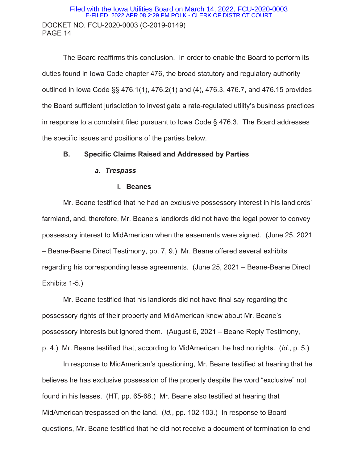### DOCKET NO. FCU-2020-0003 (C-2019-0149) PAGE 14 Filed with the Iowa Utilities Board on March 14, 2022, FCU-2020-0003 E-FILED 2022 APR 08 2:29 PM POLK - CLERK OF DISTRICT COURT

The Board reaffirms this conclusion. In order to enable the Board to perform its duties found in Iowa Code chapter 476, the broad statutory and regulatory authority outlined in Iowa Code §§ 476.1(1), 476.2(1) and (4), 476.3, 476.7, and 476.15 provides the Board sufficient jurisdiction to investigate a rate-regulated utility's business practices in response to a complaint filed pursuant to Iowa Code § 476.3. The Board addresses the specific issues and positions of the parties below.

### **B. Specific Claims Raised and Addressed by Parties**

#### *a. Trespass*

#### **i. Beanes**

Mr. Beane testified that he had an exclusive possessory interest in his landlords' farmland, and, therefore, Mr. Beane's landlords did not have the legal power to convey possessory interest to MidAmerican when the easements were signed. (June 25, 2021 – Beane-Beane Direct Testimony, pp. 7, 9.) Mr. Beane offered several exhibits regarding his corresponding lease agreements. (June 25, 2021 – Beane-Beane Direct Exhibits 1-5.)

Mr. Beane testified that his landlords did not have final say regarding the possessory rights of their property and MidAmerican knew about Mr. Beane's possessory interests but ignored them. (August 6, 2021 – Beane Reply Testimony, p. 4.) Mr. Beane testified that, according to MidAmerican, he had no rights. (*Id.*, p. 5.)

In response to MidAmerican's questioning, Mr. Beane testified at hearing that he believes he has exclusive possession of the property despite the word "exclusive" not found in his leases. (HT, pp. 65-68.) Mr. Beane also testified at hearing that MidAmerican trespassed on the land. (*Id.*, pp. 102-103.) In response to Board questions, Mr. Beane testified that he did not receive a document of termination to end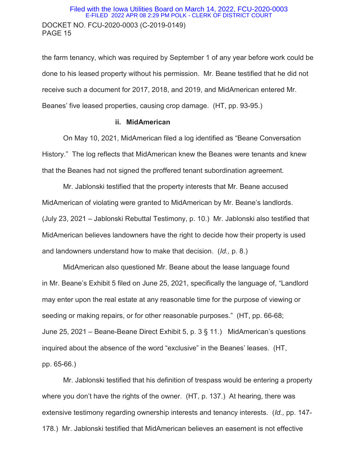### DOCKET NO. FCU-2020-0003 (C-2019-0149) PAGE 15 Filed with the Iowa Utilities Board on March 14, 2022, FCU-2020-0003 E-FILED 2022 APR 08 2:29 PM POLK - CLERK OF DISTRICT COURT

the farm tenancy, which was required by September 1 of any year before work could be done to his leased property without his permission. Mr. Beane testified that he did not receive such a document for 2017, 2018, and 2019, and MidAmerican entered Mr. Beanes' five leased properties, causing crop damage. (HT, pp. 93-95.)

#### **ii. MidAmerican**

On May 10, 2021, MidAmerican filed a log identified as "Beane Conversation History." The log reflects that MidAmerican knew the Beanes were tenants and knew that the Beanes had not signed the proffered tenant subordination agreement.

Mr. Jablonski testified that the property interests that Mr. Beane accused MidAmerican of violating were granted to MidAmerican by Mr. Beane's landlords. (July 23, 2021 – Jablonski Rebuttal Testimony, p. 10.) Mr. Jablonski also testified that MidAmerican believes landowners have the right to decide how their property is used and landowners understand how to make that decision. (*Id.,* p. 8.)

MidAmerican also questioned Mr. Beane about the lease language found in Mr. Beane's Exhibit 5 filed on June 25, 2021, specifically the language of, "Landlord may enter upon the real estate at any reasonable time for the purpose of viewing or seeding or making repairs, or for other reasonable purposes." (HT, pp. 66-68; June 25, 2021 – Beane-Beane Direct Exhibit 5, p. 3 § 11.) MidAmerican's questions inquired about the absence of the word "exclusive" in the Beanes' leases. (HT, pp. 65-66.)

Mr. Jablonski testified that his definition of trespass would be entering a property where you don't have the rights of the owner. (HT, p. 137.) At hearing, there was extensive testimony regarding ownership interests and tenancy interests. (*Id.,* pp. 147- 178.) Mr. Jablonski testified that MidAmerican believes an easement is not effective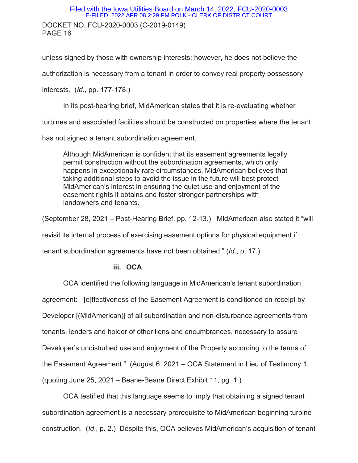# DOCKET NO. FCU-2020-0003 (C-2019-0149) PAGE 16 Filed with the Iowa Utilities Board on March 14, 2022, FCU-2020-0003 E-FILED 2022 APR 08 2:29 PM POLK - CLERK OF DISTRICT COURT

unless signed by those with ownership interests; however, he does not believe the

authorization is necessary from a tenant in order to convey real property possessory

interests. (*Id*., pp. 177-178.)

In its post-hearing brief, MidAmerican states that it is re-evaluating whether

turbines and associated facilities should be constructed on properties where the tenant

has not signed a tenant subordination agreement.

Although MidAmerican is confident that its easement agreements legally permit construction without the subordination agreements, which only happens in exceptionally rare circumstances, MidAmerican believes that taking additional steps to avoid the issue in the future will best protect MidAmerican's interest in ensuring the quiet use and enjoyment of the easement rights it obtains and foster stronger partnerships with landowners and tenants.

(September 28, 2021 – Post-Hearing Brief, pp. 12-13.) MidAmerican also stated it "will revisit its internal process of exercising easement options for physical equipment if tenant subordination agreements have not been obtained." (*Id*., p, 17.)

### **iii. OCA**

OCA identified the following language in MidAmerican's tenant subordination agreement: "[e]ffectiveness of the Easement Agreement is conditioned on receipt by Developer [(MidAmerican)] of all subordination and non-disturbance agreements from tenants, lenders and holder of other liens and encumbrances, necessary to assure Developer's undisturbed use and enjoyment of the Property according to the terms of the Easement Agreement." (August 6, 2021 – OCA Statement in Lieu of Testimony 1, (quoting June 25, 2021 – Beane-Beane Direct Exhibit 11, pg. 1.)

OCA testified that this language seems to imply that obtaining a signed tenant subordination agreement is a necessary prerequisite to MidAmerican beginning turbine construction. (*Id*., p. 2.) Despite this, OCA believes MidAmerican's acquisition of tenant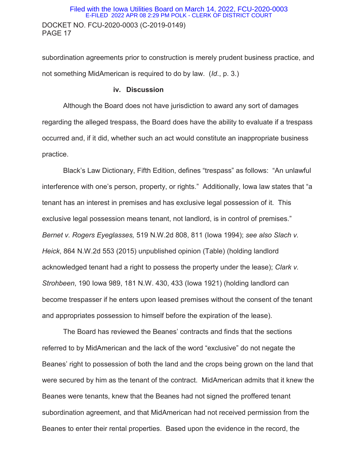### DOCKET NO. FCU-2020-0003 (C-2019-0149) PAGE 17 Filed with the Iowa Utilities Board on March 14, 2022, FCU-2020-0003 E-FILED 2022 APR 08 2:29 PM POLK - CLERK OF DISTRICT COURT

subordination agreements prior to construction is merely prudent business practice, and not something MidAmerican is required to do by law. (*Id*., p. 3.)

#### **iv. Discussion**

 Although the Board does not have jurisdiction to award any sort of damages regarding the alleged trespass, the Board does have the ability to evaluate if a trespass occurred and, if it did, whether such an act would constitute an inappropriate business practice.

Black's Law Dictionary, Fifth Edition, defines "trespass" as follows: "An unlawful interference with one's person, property, or rights." Additionally, Iowa law states that "a tenant has an interest in premises and has exclusive legal possession of it. This exclusive legal possession means tenant, not landlord, is in control of premises." *Bernet v. Rogers Eyeglasses,* 519 N.W.2d 808, 811 (Iowa 1994); *see also Slach v. Heick*, 864 N.W.2d 553 (2015) unpublished opinion (Table) (holding landlord acknowledged tenant had a right to possess the property under the lease); *Clark v. Strohbeen*, 190 Iowa 989, 181 N.W. 430, 433 (Iowa 1921) (holding landlord can become trespasser if he enters upon leased premises without the consent of the tenant and appropriates possession to himself before the expiration of the lease).

The Board has reviewed the Beanes' contracts and finds that the sections referred to by MidAmerican and the lack of the word "exclusive" do not negate the Beanes' right to possession of both the land and the crops being grown on the land that were secured by him as the tenant of the contract. MidAmerican admits that it knew the Beanes were tenants, knew that the Beanes had not signed the proffered tenant subordination agreement, and that MidAmerican had not received permission from the Beanes to enter their rental properties. Based upon the evidence in the record, the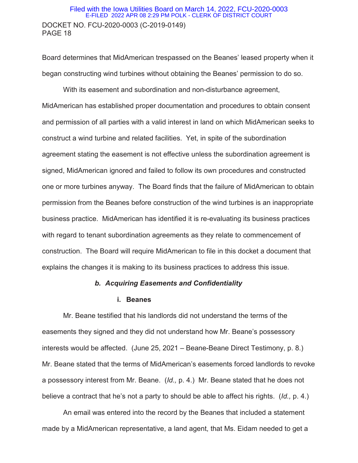### DOCKET NO. FCU-2020-0003 (C-2019-0149) PAGE 18 Filed with the Iowa Utilities Board on March 14, 2022, FCU-2020-0003 E-FILED 2022 APR 08 2:29 PM POLK - CLERK OF DISTRICT COURT

Board determines that MidAmerican trespassed on the Beanes' leased property when it began constructing wind turbines without obtaining the Beanes' permission to do so.

With its easement and subordination and non-disturbance agreement, MidAmerican has established proper documentation and procedures to obtain consent and permission of all parties with a valid interest in land on which MidAmerican seeks to construct a wind turbine and related facilities. Yet, in spite of the subordination agreement stating the easement is not effective unless the subordination agreement is signed, MidAmerican ignored and failed to follow its own procedures and constructed one or more turbines anyway. The Board finds that the failure of MidAmerican to obtain permission from the Beanes before construction of the wind turbines is an inappropriate business practice. MidAmerican has identified it is re-evaluating its business practices with regard to tenant subordination agreements as they relate to commencement of construction. The Board will require MidAmerican to file in this docket a document that explains the changes it is making to its business practices to address this issue.

### *b. Acquiring Easements and Confidentiality*

#### **i. Beanes**

Mr. Beane testified that his landlords did not understand the terms of the easements they signed and they did not understand how Mr. Beane's possessory interests would be affected. (June 25, 2021 – Beane-Beane Direct Testimony, p. 8.) Mr. Beane stated that the terms of MidAmerican's easements forced landlords to revoke a possessory interest from Mr. Beane. (*Id.,* p. 4.) Mr. Beane stated that he does not believe a contract that he's not a party to should be able to affect his rights. (*Id.,* p. 4.)

An email was entered into the record by the Beanes that included a statement made by a MidAmerican representative, a land agent, that Ms. Eidam needed to get a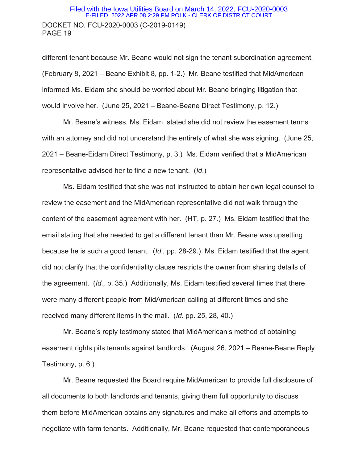### DOCKET NO. FCU-2020-0003 (C-2019-0149) PAGE 19 Filed with the Iowa Utilities Board on March 14, 2022, FCU-2020-0003 E-FILED 2022 APR 08 2:29 PM POLK - CLERK OF DISTRICT COURT

different tenant because Mr. Beane would not sign the tenant subordination agreement. (February 8, 2021 – Beane Exhibit 8, pp. 1-2.) Mr. Beane testified that MidAmerican informed Ms. Eidam she should be worried about Mr. Beane bringing litigation that would involve her. (June 25, 2021 – Beane-Beane Direct Testimony, p. 12.)

Mr. Beane's witness, Ms. Eidam, stated she did not review the easement terms with an attorney and did not understand the entirety of what she was signing. (June 25, 2021 – Beane-Eidam Direct Testimony, p. 3.) Ms. Eidam verified that a MidAmerican representative advised her to find a new tenant. (*Id*.)

Ms. Eidam testified that she was not instructed to obtain her own legal counsel to review the easement and the MidAmerican representative did not walk through the content of the easement agreement with her. (HT, p. 27.) Ms. Eidam testified that the email stating that she needed to get a different tenant than Mr. Beane was upsetting because he is such a good tenant. (*Id.,* pp. 28-29.) Ms. Eidam testified that the agent did not clarify that the confidentiality clause restricts the owner from sharing details of the agreement. (*Id.,* p. 35.) Additionally, Ms. Eidam testified several times that there were many different people from MidAmerican calling at different times and she received many different items in the mail. (*Id.* pp. 25, 28, 40.)

Mr. Beane's reply testimony stated that MidAmerican's method of obtaining easement rights pits tenants against landlords. (August 26, 2021 – Beane-Beane Reply Testimony, p. 6.)

Mr. Beane requested the Board require MidAmerican to provide full disclosure of all documents to both landlords and tenants, giving them full opportunity to discuss them before MidAmerican obtains any signatures and make all efforts and attempts to negotiate with farm tenants. Additionally, Mr. Beane requested that contemporaneous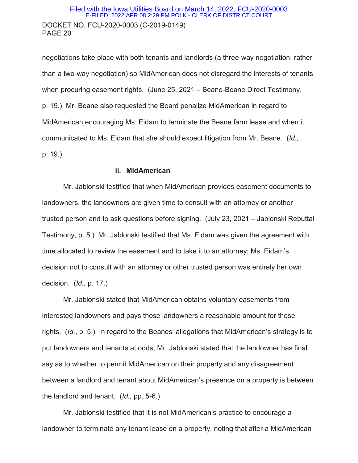### DOCKET NO. FCU-2020-0003 (C-2019-0149) PAGE 20 Filed with the Iowa Utilities Board on March 14, 2022, FCU-2020-0003 E-FILED 2022 APR 08 2:29 PM POLK - CLERK OF DISTRICT COURT

negotiations take place with both tenants and landlords (a three-way negotiation, rather than a two-way negotiation) so MidAmerican does not disregard the interests of tenants when procuring easement rights. (June 25, 2021 – Beane-Beane Direct Testimony, p. 19.) Mr. Beane also requested the Board penalize MidAmerican in regard to MidAmerican encouraging Ms. Eidam to terminate the Beane farm lease and when it communicated to Ms. Eidam that she should expect litigation from Mr. Beane. (*Id.,* p. 19.)

### **ii. MidAmerican**

Mr. Jablonski testified that when MidAmerican provides easement documents to landowners, the landowners are given time to consult with an attorney or another trusted person and to ask questions before signing. (July 23, 2021 – Jablonski Rebuttal Testimony, p. 5.) Mr. Jablonski testified that Ms. Eidam was given the agreement with time allocated to review the easement and to take it to an attorney; Ms. Eidam's decision not to consult with an attorney or other trusted person was entirely her own decision. (*Id.,* p. 17.)

Mr. Jablonski stated that MidAmerican obtains voluntary easements from interested landowners and pays those landowners a reasonable amount for those rights. (*Id.*, p. 5.) In regard to the Beanes' allegations that MidAmerican's strategy is to put landowners and tenants at odds, Mr. Jablonski stated that the landowner has final say as to whether to permit MidAmerican on their property and any disagreement between a landlord and tenant about MidAmerican's presence on a property is between the landlord and tenant. (*Id.,* pp. 5-6.)

Mr. Jablonski testified that it is not MidAmerican's practice to encourage a landowner to terminate any tenant lease on a property, noting that after a MidAmerican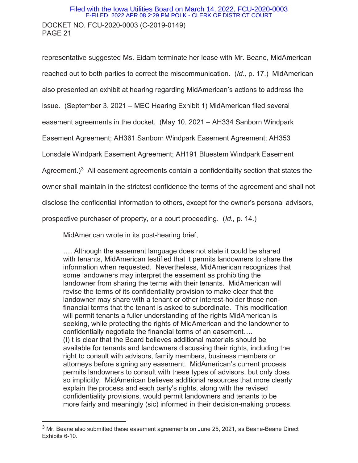# DOCKET NO. FCU-2020-0003 (C-2019-0149) PAGE 21 Filed with the Iowa Utilities Board on March 14, 2022, FCU-2020-0003 E-FILED 2022 APR 08 2:29 PM POLK - CLERK OF DISTRICT COURT

representative suggested Ms. Eidam terminate her lease with Mr. Beane, MidAmerican reached out to both parties to correct the miscommunication. (*Id.,* p. 17.) MidAmerican also presented an exhibit at hearing regarding MidAmerican's actions to address the issue. (September 3, 2021 – MEC Hearing Exhibit 1) MidAmerican filed several easement agreements in the docket. (May 10, 2021 – AH334 Sanborn Windpark Easement Agreement; AH361 Sanborn Windpark Easement Agreement; AH353 Lonsdale Windpark Easement Agreement; AH191 Bluestem Windpark Easement Agreement.)<sup>3</sup> All easement agreements contain a confidentiality section that states the owner shall maintain in the strictest confidence the terms of the agreement and shall not disclose the confidential information to others, except for the owner's personal advisors, prospective purchaser of property, or a court proceeding. (*Id.,* p. 14.)

MidAmerican wrote in its post-hearing brief,

 $\overline{a}$ 

…. Although the easement language does not state it could be shared with tenants, MidAmerican testified that it permits landowners to share the information when requested. Nevertheless, MidAmerican recognizes that some landowners may interpret the easement as prohibiting the landowner from sharing the terms with their tenants. MidAmerican will revise the terms of its confidentiality provision to make clear that the landowner may share with a tenant or other interest-holder those nonfinancial terms that the tenant is asked to subordinate. This modification will permit tenants a fuller understanding of the rights MidAmerican is seeking, while protecting the rights of MidAmerican and the landowner to confidentially negotiate the financial terms of an easement…. (I) t is clear that the Board believes additional materials should be available for tenants and landowners discussing their rights, including the right to consult with advisors, family members, business members or attorneys before signing any easement. MidAmerican's current process permits landowners to consult with these types of advisors, but only does so implicitly. MidAmerican believes additional resources that more clearly explain the process and each party's rights, along with the revised confidentiality provisions, would permit landowners and tenants to be more fairly and meaningly (sic) informed in their decision-making process.

 $3$  Mr. Beane also submitted these easement agreements on June 25, 2021, as Beane-Beane Direct Exhibits 6-10.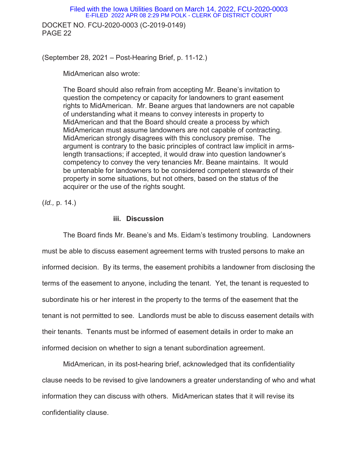DOCKET NO. FCU-2020-0003 (C-2019-0149) PAGE 22 Filed with the Iowa Utilities Board on March 14, 2022, FCU-2020-0003 E-FILED 2022 APR 08 2:29 PM POLK - CLERK OF DISTRICT COURT

(September 28, 2021 – Post-Hearing Brief, p. 11-12.)

MidAmerican also wrote:

The Board should also refrain from accepting Mr. Beane's invitation to question the competency or capacity for landowners to grant easement rights to MidAmerican. Mr. Beane argues that landowners are not capable of understanding what it means to convey interests in property to MidAmerican and that the Board should create a process by which MidAmerican must assume landowners are not capable of contracting. MidAmerican strongly disagrees with this conclusory premise. The argument is contrary to the basic principles of contract law implicit in armslength transactions; if accepted, it would draw into question landowner's competency to convey the very tenancies Mr. Beane maintains. It would be untenable for landowners to be considered competent stewards of their property in some situations, but not others, based on the status of the acquirer or the use of the rights sought.

(*Id.,* p. 14.)

### **iii. Discussion**

 The Board finds Mr. Beane's and Ms. Eidam's testimony troubling. Landowners must be able to discuss easement agreement terms with trusted persons to make an informed decision. By its terms, the easement prohibits a landowner from disclosing the terms of the easement to anyone, including the tenant. Yet, the tenant is requested to subordinate his or her interest in the property to the terms of the easement that the tenant is not permitted to see. Landlords must be able to discuss easement details with their tenants. Tenants must be informed of easement details in order to make an informed decision on whether to sign a tenant subordination agreement.

MidAmerican, in its post-hearing brief, acknowledged that its confidentiality clause needs to be revised to give landowners a greater understanding of who and what information they can discuss with others. MidAmerican states that it will revise its confidentiality clause.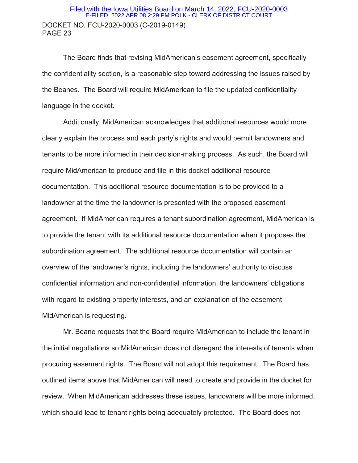### DOCKET NO. FCU-2020-0003 (C-2019-0149) PAGE 23 Filed with the Iowa Utilities Board on March 14, 2022, FCU-2020-0003 E-FILED 2022 APR 08 2:29 PM POLK - CLERK OF DISTRICT COURT

The Board finds that revising MidAmerican's easement agreement, specifically the confidentiality section, is a reasonable step toward addressing the issues raised by the Beanes. The Board will require MidAmerican to file the updated confidentiality language in the docket.

Additionally, MidAmerican acknowledges that additional resources would more clearly explain the process and each party's rights and would permit landowners and tenants to be more informed in their decision-making process. As such, the Board will require MidAmerican to produce and file in this docket additional resource documentation. This additional resource documentation is to be provided to a landowner at the time the landowner is presented with the proposed easement agreement. If MidAmerican requires a tenant subordination agreement, MidAmerican is to provide the tenant with its additional resource documentation when it proposes the subordination agreement. The additional resource documentation will contain an overview of the landowner's rights, including the landowners' authority to discuss confidential information and non-confidential information, the landowners' obligations with regard to existing property interests, and an explanation of the easement MidAmerican is requesting.

Mr. Beane requests that the Board require MidAmerican to include the tenant in the initial negotiations so MidAmerican does not disregard the interests of tenants when procuring easement rights. The Board will not adopt this requirement. The Board has outlined items above that MidAmerican will need to create and provide in the docket for review. When MidAmerican addresses these issues, landowners will be more informed, which should lead to tenant rights being adequately protected. The Board does not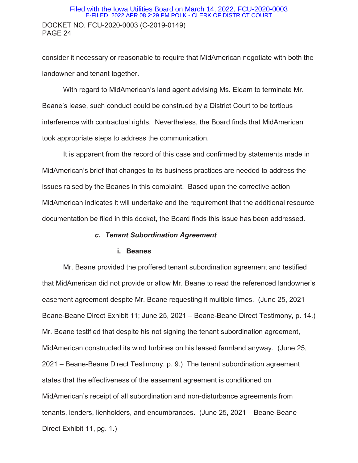### DOCKET NO. FCU-2020-0003 (C-2019-0149) PAGE 24 Filed with the Iowa Utilities Board on March 14, 2022, FCU-2020-0003 E-FILED 2022 APR 08 2:29 PM POLK - CLERK OF DISTRICT COURT

consider it necessary or reasonable to require that MidAmerican negotiate with both the landowner and tenant together.

With regard to MidAmerican's land agent advising Ms. Eidam to terminate Mr. Beane's lease, such conduct could be construed by a District Court to be tortious interference with contractual rights. Nevertheless, the Board finds that MidAmerican took appropriate steps to address the communication.

It is apparent from the record of this case and confirmed by statements made in MidAmerican's brief that changes to its business practices are needed to address the issues raised by the Beanes in this complaint. Based upon the corrective action MidAmerican indicates it will undertake and the requirement that the additional resource documentation be filed in this docket, the Board finds this issue has been addressed.

#### *c. Tenant Subordination Agreement*

### **i. Beanes**

Mr. Beane provided the proffered tenant subordination agreement and testified that MidAmerican did not provide or allow Mr. Beane to read the referenced landowner's easement agreement despite Mr. Beane requesting it multiple times. (June 25, 2021 – Beane-Beane Direct Exhibit 11; June 25, 2021 – Beane-Beane Direct Testimony, p. 14.) Mr. Beane testified that despite his not signing the tenant subordination agreement, MidAmerican constructed its wind turbines on his leased farmland anyway. (June 25, 2021 – Beane-Beane Direct Testimony, p. 9.) The tenant subordination agreement states that the effectiveness of the easement agreement is conditioned on MidAmerican's receipt of all subordination and non-disturbance agreements from tenants, lenders, lienholders, and encumbrances. (June 25, 2021 – Beane-Beane Direct Exhibit 11, pg. 1.)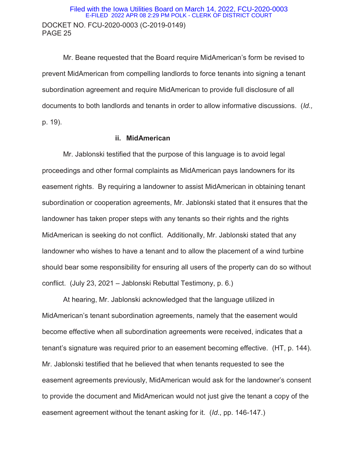### DOCKET NO. FCU-2020-0003 (C-2019-0149) PAGE 25 Filed with the Iowa Utilities Board on March 14, 2022, FCU-2020-0003 E-FILED 2022 APR 08 2:29 PM POLK - CLERK OF DISTRICT COURT

Mr. Beane requested that the Board require MidAmerican's form be revised to prevent MidAmerican from compelling landlords to force tenants into signing a tenant subordination agreement and require MidAmerican to provide full disclosure of all documents to both landlords and tenants in order to allow informative discussions. (*Id.,* p. 19).

### **ii. MidAmerican**

 Mr. Jablonski testified that the purpose of this language is to avoid legal proceedings and other formal complaints as MidAmerican pays landowners for its easement rights. By requiring a landowner to assist MidAmerican in obtaining tenant subordination or cooperation agreements, Mr. Jablonski stated that it ensures that the landowner has taken proper steps with any tenants so their rights and the rights MidAmerican is seeking do not conflict. Additionally, Mr. Jablonski stated that any landowner who wishes to have a tenant and to allow the placement of a wind turbine should bear some responsibility for ensuring all users of the property can do so without conflict. (July 23, 2021 – Jablonski Rebuttal Testimony, p. 6.)

 At hearing, Mr. Jablonski acknowledged that the language utilized in MidAmerican's tenant subordination agreements, namely that the easement would become effective when all subordination agreements were received, indicates that a tenant's signature was required prior to an easement becoming effective. (HT, p. 144). Mr. Jablonski testified that he believed that when tenants requested to see the easement agreements previously, MidAmerican would ask for the landowner's consent to provide the document and MidAmerican would not just give the tenant a copy of the easement agreement without the tenant asking for it. (*Id*., pp. 146-147.)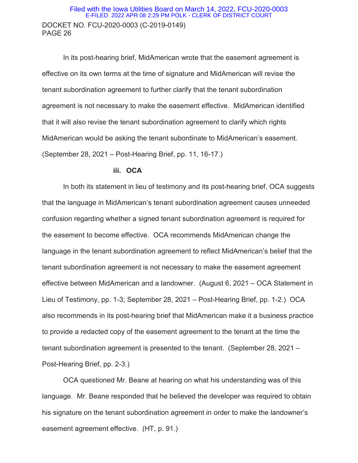### DOCKET NO. FCU-2020-0003 (C-2019-0149) PAGE 26 Filed with the Iowa Utilities Board on March 14, 2022, FCU-2020-0003 E-FILED 2022 APR 08 2:29 PM POLK - CLERK OF DISTRICT COURT

In its post-hearing brief, MidAmerican wrote that the easement agreement is effective on its own terms at the time of signature and MidAmerican will revise the tenant subordination agreement to further clarify that the tenant subordination agreement is not necessary to make the easement effective. MidAmerican identified that it will also revise the tenant subordination agreement to clarify which rights MidAmerican would be asking the tenant subordinate to MidAmerican's easement. (September 28, 2021 – Post-Hearing Brief, pp. 11, 16-17.)

#### **iii. OCA**

In both its statement in lieu of testimony and its post-hearing brief, OCA suggests that the language in MidAmerican's tenant subordination agreement causes unneeded confusion regarding whether a signed tenant subordination agreement is required for the easement to become effective. OCA recommends MidAmerican change the language in the tenant subordination agreement to reflect MidAmerican's belief that the tenant subordination agreement is not necessary to make the easement agreement effective between MidAmerican and a landowner. (August 6, 2021 – OCA Statement in Lieu of Testimony, pp. 1-3; September 28, 2021 – Post-Hearing Brief, pp. 1-2.) OCA also recommends in its post-hearing brief that MidAmerican make it a business practice to provide a redacted copy of the easement agreement to the tenant at the time the tenant subordination agreement is presented to the tenant. (September 28, 2021 – Post-Hearing Brief, pp. 2-3.)

OCA questioned Mr. Beane at hearing on what his understanding was of this language. Mr. Beane responded that he believed the developer was required to obtain his signature on the tenant subordination agreement in order to make the landowner's easement agreement effective. (HT, p. 91.)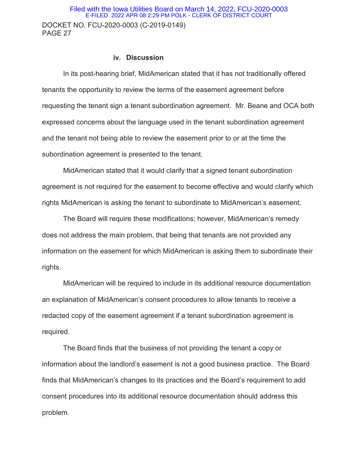#### **iv. Discussion**

In its post-hearing brief, MidAmerican stated that it has not traditionally offered tenants the opportunity to review the terms of the easement agreement before requesting the tenant sign a tenant subordination agreement. Mr. Beane and OCA both expressed concerns about the language used in the tenant subordination agreement and the tenant not being able to review the easement prior to or at the time the subordination agreement is presented to the tenant.

MidAmerican stated that it would clarify that a signed tenant subordination agreement is not required for the easement to become effective and would clarify which rights MidAmerican is asking the tenant to subordinate to MidAmerican's easement.

The Board will require these modifications; however, MidAmerican's remedy does not address the main problem, that being that tenants are not provided any information on the easement for which MidAmerican is asking them to subordinate their rights.

 MidAmerican will be required to include in its additional resource documentation an explanation of MidAmerican's consent procedures to allow tenants to receive a redacted copy of the easement agreement if a tenant subordination agreement is required.

The Board finds that the business of not providing the tenant a copy or information about the landlord's easement is not a good business practice. The Board finds that MidAmerican's changes to its practices and the Board's requirement to add consent procedures into its additional resource documentation should address this problem.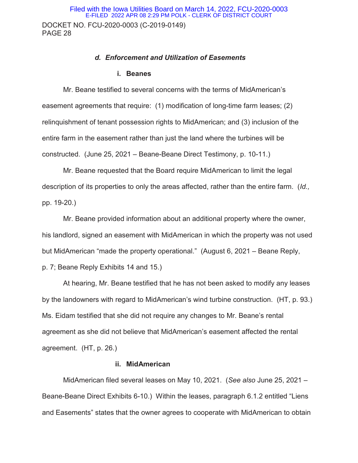#### *d. Enforcement and Utilization of Easements*

#### **i. Beanes**

 Mr. Beane testified to several concerns with the terms of MidAmerican's easement agreements that require: (1) modification of long-time farm leases; (2) relinquishment of tenant possession rights to MidAmerican; and (3) inclusion of the entire farm in the easement rather than just the land where the turbines will be constructed. (June 25, 2021 – Beane-Beane Direct Testimony, p. 10-11.)

Mr. Beane requested that the Board require MidAmerican to limit the legal description of its properties to only the areas affected, rather than the entire farm. (*Id.,* pp. 19-20.)

 Mr. Beane provided information about an additional property where the owner, his landlord, signed an easement with MidAmerican in which the property was not used but MidAmerican "made the property operational." (August 6, 2021 – Beane Reply, p. 7; Beane Reply Exhibits 14 and 15.)

 At hearing, Mr. Beane testified that he has not been asked to modify any leases by the landowners with regard to MidAmerican's wind turbine construction. (HT, p. 93.) Ms. Eidam testified that she did not require any changes to Mr. Beane's rental agreement as she did not believe that MidAmerican's easement affected the rental agreement. (HT, p. 26.)

### **ii. MidAmerican**

MidAmerican filed several leases on May 10, 2021. (*See also* June 25, 2021 – Beane-Beane Direct Exhibits 6-10.) Within the leases, paragraph 6.1.2 entitled "Liens and Easements" states that the owner agrees to cooperate with MidAmerican to obtain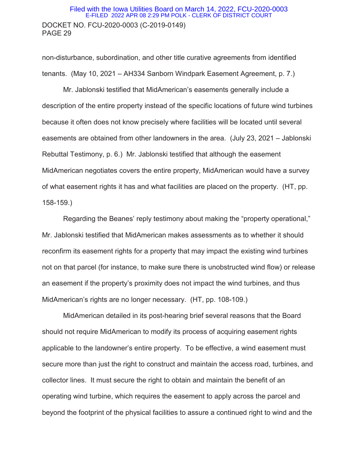### DOCKET NO. FCU-2020-0003 (C-2019-0149) PAGE 29 Filed with the Iowa Utilities Board on March 14, 2022, FCU-2020-0003 E-FILED 2022 APR 08 2:29 PM POLK - CLERK OF DISTRICT COURT

non-disturbance, subordination, and other title curative agreements from identified tenants. (May 10, 2021 – AH334 Sanborn Windpark Easement Agreement, p. 7.)

Mr. Jablonski testified that MidAmerican's easements generally include a description of the entire property instead of the specific locations of future wind turbines because it often does not know precisely where facilities will be located until several easements are obtained from other landowners in the area. (July 23, 2021 – Jablonski Rebuttal Testimony, p. 6.) Mr. Jablonski testified that although the easement MidAmerican negotiates covers the entire property, MidAmerican would have a survey of what easement rights it has and what facilities are placed on the property. (HT, pp. 158-159.)

Regarding the Beanes' reply testimony about making the "property operational," Mr. Jablonski testified that MidAmerican makes assessments as to whether it should reconfirm its easement rights for a property that may impact the existing wind turbines not on that parcel (for instance, to make sure there is unobstructed wind flow) or release an easement if the property's proximity does not impact the wind turbines, and thus MidAmerican's rights are no longer necessary. (HT, pp. 108-109.)

 MidAmerican detailed in its post-hearing brief several reasons that the Board should not require MidAmerican to modify its process of acquiring easement rights applicable to the landowner's entire property. To be effective, a wind easement must secure more than just the right to construct and maintain the access road, turbines, and collector lines. It must secure the right to obtain and maintain the benefit of an operating wind turbine, which requires the easement to apply across the parcel and beyond the footprint of the physical facilities to assure a continued right to wind and the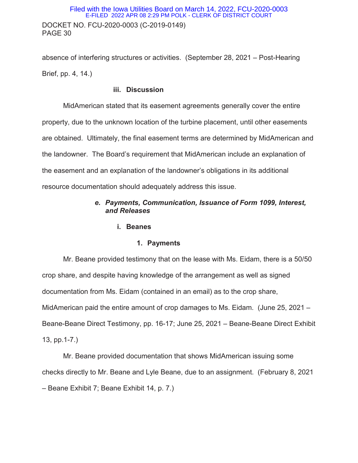absence of interfering structures or activities. (September 28, 2021 – Post-Hearing Brief, pp. 4, 14.)

# **iii. Discussion**

MidAmerican stated that its easement agreements generally cover the entire property, due to the unknown location of the turbine placement, until other easements are obtained. Ultimately, the final easement terms are determined by MidAmerican and the landowner. The Board's requirement that MidAmerican include an explanation of the easement and an explanation of the landowner's obligations in its additional resource documentation should adequately address this issue.

# *e. Payments, Communication, Issuance of Form 1099, Interest, and Releases*

## **i. Beanes**

# **1. Payments**

Mr. Beane provided testimony that on the lease with Ms. Eidam, there is a 50/50 crop share, and despite having knowledge of the arrangement as well as signed documentation from Ms. Eidam (contained in an email) as to the crop share, MidAmerican paid the entire amount of crop damages to Ms. Eidam. (June 25, 2021 – Beane-Beane Direct Testimony, pp. 16-17; June 25, 2021 – Beane-Beane Direct Exhibit 13, pp.1-7.)

Mr. Beane provided documentation that shows MidAmerican issuing some checks directly to Mr. Beane and Lyle Beane, due to an assignment. (February 8, 2021 – Beane Exhibit 7; Beane Exhibit 14, p. 7.)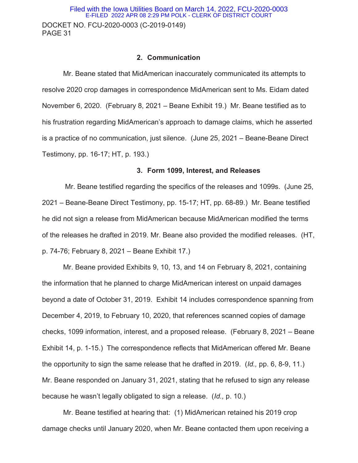DOCKET NO. FCU-2020-0003 (C-2019-0149) PAGE 31 Filed with the Iowa Utilities Board on March 14, 2022, FCU-2020-0003 E-FILED 2022 APR 08 2:29 PM POLK - CLERK OF DISTRICT COURT

### **2. Communication**

Mr. Beane stated that MidAmerican inaccurately communicated its attempts to resolve 2020 crop damages in correspondence MidAmerican sent to Ms. Eidam dated November 6, 2020. (February 8, 2021 – Beane Exhibit 19.) Mr. Beane testified as to his frustration regarding MidAmerican's approach to damage claims, which he asserted is a practice of no communication, just silence. (June 25, 2021 – Beane-Beane Direct Testimony, pp. 16-17; HT, p. 193.)

#### **3. Form 1099, Interest, and Releases**

 Mr. Beane testified regarding the specifics of the releases and 1099s. (June 25, 2021 – Beane-Beane Direct Testimony, pp. 15-17; HT, pp. 68-89.) Mr. Beane testified he did not sign a release from MidAmerican because MidAmerican modified the terms of the releases he drafted in 2019. Mr. Beane also provided the modified releases. (HT, p. 74-76; February 8, 2021 – Beane Exhibit 17.)

Mr. Beane provided Exhibits 9, 10, 13, and 14 on February 8, 2021, containing the information that he planned to charge MidAmerican interest on unpaid damages beyond a date of October 31, 2019. Exhibit 14 includes correspondence spanning from December 4, 2019, to February 10, 2020, that references scanned copies of damage checks, 1099 information, interest, and a proposed release. (February 8, 2021 – Beane Exhibit 14, p. 1-15.) The correspondence reflects that MidAmerican offered Mr. Beane the opportunity to sign the same release that he drafted in 2019. (*Id.,* pp. 6, 8-9, 11.) Mr. Beane responded on January 31, 2021, stating that he refused to sign any release because he wasn't legally obligated to sign a release. (*Id.,* p. 10.)

Mr. Beane testified at hearing that: (1) MidAmerican retained his 2019 crop damage checks until January 2020, when Mr. Beane contacted them upon receiving a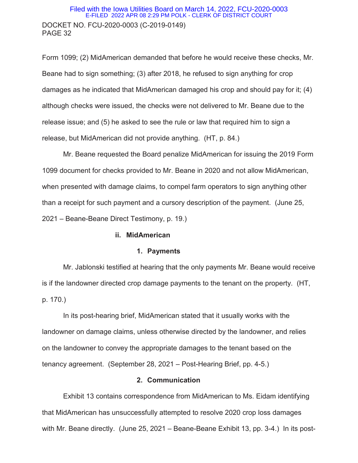### DOCKET NO. FCU-2020-0003 (C-2019-0149) PAGE 32 Filed with the Iowa Utilities Board on March 14, 2022, FCU-2020-0003 E-FILED 2022 APR 08 2:29 PM POLK - CLERK OF DISTRICT COURT

Form 1099; (2) MidAmerican demanded that before he would receive these checks, Mr. Beane had to sign something; (3) after 2018, he refused to sign anything for crop damages as he indicated that MidAmerican damaged his crop and should pay for it; (4) although checks were issued, the checks were not delivered to Mr. Beane due to the release issue; and (5) he asked to see the rule or law that required him to sign a release, but MidAmerican did not provide anything. (HT, p. 84.)

Mr. Beane requested the Board penalize MidAmerican for issuing the 2019 Form 1099 document for checks provided to Mr. Beane in 2020 and not allow MidAmerican, when presented with damage claims, to compel farm operators to sign anything other than a receipt for such payment and a cursory description of the payment. (June 25, 2021 – Beane-Beane Direct Testimony, p. 19.)

#### **ii. MidAmerican**

#### **1. Payments**

Mr. Jablonski testified at hearing that the only payments Mr. Beane would receive is if the landowner directed crop damage payments to the tenant on the property. (HT, p. 170.)

In its post-hearing brief, MidAmerican stated that it usually works with the landowner on damage claims, unless otherwise directed by the landowner, and relies on the landowner to convey the appropriate damages to the tenant based on the tenancy agreement. (September 28, 2021 – Post-Hearing Brief, pp. 4-5.)

### **2. Communication**

Exhibit 13 contains correspondence from MidAmerican to Ms. Eidam identifying that MidAmerican has unsuccessfully attempted to resolve 2020 crop loss damages with Mr. Beane directly. (June 25, 2021 – Beane-Beane Exhibit 13, pp. 3-4.) In its post-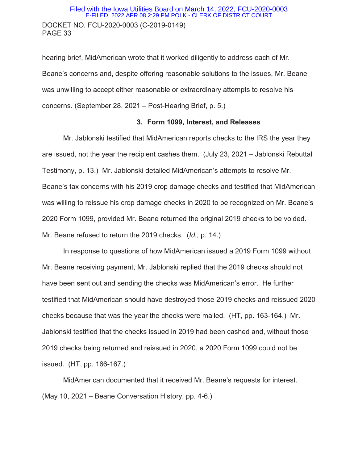### DOCKET NO. FCU-2020-0003 (C-2019-0149) PAGE 33 Filed with the Iowa Utilities Board on March 14, 2022, FCU-2020-0003 E-FILED 2022 APR 08 2:29 PM POLK - CLERK OF DISTRICT COURT

hearing brief, MidAmerican wrote that it worked diligently to address each of Mr. Beane's concerns and, despite offering reasonable solutions to the issues, Mr. Beane was unwilling to accept either reasonable or extraordinary attempts to resolve his concerns. (September 28, 2021 – Post-Hearing Brief, p. 5.)

#### **3. Form 1099, Interest, and Releases**

Mr. Jablonski testified that MidAmerican reports checks to the IRS the year they are issued, not the year the recipient cashes them. (July 23, 2021 – Jablonski Rebuttal Testimony, p. 13.) Mr. Jablonski detailed MidAmerican's attempts to resolve Mr. Beane's tax concerns with his 2019 crop damage checks and testified that MidAmerican was willing to reissue his crop damage checks in 2020 to be recognized on Mr. Beane's 2020 Form 1099, provided Mr. Beane returned the original 2019 checks to be voided. Mr. Beane refused to return the 2019 checks. (*Id.,* p. 14.)

In response to questions of how MidAmerican issued a 2019 Form 1099 without Mr. Beane receiving payment, Mr. Jablonski replied that the 2019 checks should not have been sent out and sending the checks was MidAmerican's error. He further testified that MidAmerican should have destroyed those 2019 checks and reissued 2020 checks because that was the year the checks were mailed. (HT, pp. 163-164.) Mr. Jablonski testified that the checks issued in 2019 had been cashed and, without those 2019 checks being returned and reissued in 2020, a 2020 Form 1099 could not be issued. (HT, pp. 166-167.)

MidAmerican documented that it received Mr. Beane's requests for interest. (May 10, 2021 – Beane Conversation History, pp. 4-6.)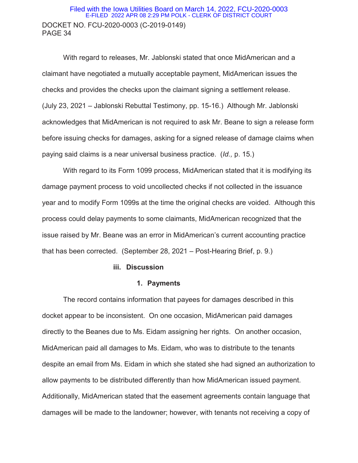### DOCKET NO. FCU-2020-0003 (C-2019-0149) PAGE 34 Filed with the Iowa Utilities Board on March 14, 2022, FCU-2020-0003 E-FILED 2022 APR 08 2:29 PM POLK - CLERK OF DISTRICT COURT

With regard to releases, Mr. Jablonski stated that once MidAmerican and a claimant have negotiated a mutually acceptable payment, MidAmerican issues the checks and provides the checks upon the claimant signing a settlement release. (July 23, 2021 – Jablonski Rebuttal Testimony, pp. 15-16.) Although Mr. Jablonski acknowledges that MidAmerican is not required to ask Mr. Beane to sign a release form before issuing checks for damages, asking for a signed release of damage claims when paying said claims is a near universal business practice. (*Id.,* p. 15.)

With regard to its Form 1099 process, MidAmerican stated that it is modifying its damage payment process to void uncollected checks if not collected in the issuance year and to modify Form 1099s at the time the original checks are voided. Although this process could delay payments to some claimants, MidAmerican recognized that the issue raised by Mr. Beane was an error in MidAmerican's current accounting practice that has been corrected. (September 28, 2021 – Post-Hearing Brief, p. 9.)

#### **iii. Discussion**

#### **1. Payments**

The record contains information that payees for damages described in this docket appear to be inconsistent. On one occasion, MidAmerican paid damages directly to the Beanes due to Ms. Eidam assigning her rights. On another occasion, MidAmerican paid all damages to Ms. Eidam, who was to distribute to the tenants despite an email from Ms. Eidam in which she stated she had signed an authorization to allow payments to be distributed differently than how MidAmerican issued payment. Additionally, MidAmerican stated that the easement agreements contain language that damages will be made to the landowner; however, with tenants not receiving a copy of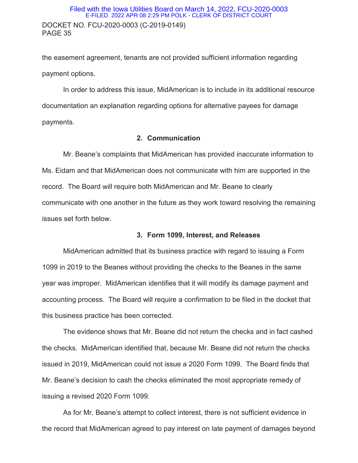### DOCKET NO. FCU-2020-0003 (C-2019-0149) PAGE 35 Filed with the Iowa Utilities Board on March 14, 2022, FCU-2020-0003 E-FILED 2022 APR 08 2:29 PM POLK - CLERK OF DISTRICT COURT

the easement agreement, tenants are not provided sufficient information regarding payment options.

In order to address this issue, MidAmerican is to include in its additional resource documentation an explanation regarding options for alternative payees for damage payments.

### **2. Communication**

Mr. Beane's complaints that MidAmerican has provided inaccurate information to Ms. Eidam and that MidAmerican does not communicate with him are supported in the record. The Board will require both MidAmerican and Mr. Beane to clearly communicate with one another in the future as they work toward resolving the remaining issues set forth below.

### **3. Form 1099, Interest, and Releases**

MidAmerican admitted that its business practice with regard to issuing a Form 1099 in 2019 to the Beanes without providing the checks to the Beanes in the same year was improper. MidAmerican identifies that it will modify its damage payment and accounting process. The Board will require a confirmation to be filed in the docket that this business practice has been corrected.

 The evidence shows that Mr. Beane did not return the checks and in fact cashed the checks. MidAmerican identified that, because Mr. Beane did not return the checks issued in 2019, MidAmerican could not issue a 2020 Form 1099. The Board finds that Mr. Beane's decision to cash the checks eliminated the most appropriate remedy of issuing a revised 2020 Form 1099.

 As for Mr. Beane's attempt to collect interest, there is not sufficient evidence in the record that MidAmerican agreed to pay interest on late payment of damages beyond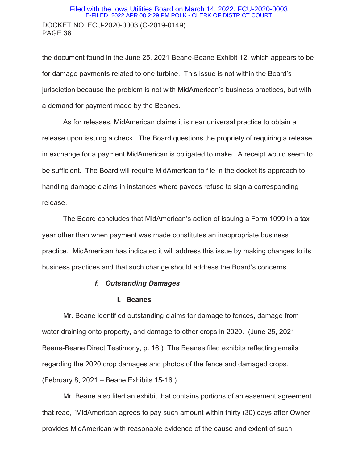### DOCKET NO. FCU-2020-0003 (C-2019-0149) PAGE 36 Filed with the Iowa Utilities Board on March 14, 2022, FCU-2020-0003 E-FILED 2022 APR 08 2:29 PM POLK - CLERK OF DISTRICT COURT

the document found in the June 25, 2021 Beane-Beane Exhibit 12, which appears to be for damage payments related to one turbine. This issue is not within the Board's jurisdiction because the problem is not with MidAmerican's business practices, but with a demand for payment made by the Beanes.

 As for releases, MidAmerican claims it is near universal practice to obtain a release upon issuing a check. The Board questions the propriety of requiring a release in exchange for a payment MidAmerican is obligated to make. A receipt would seem to be sufficient. The Board will require MidAmerican to file in the docket its approach to handling damage claims in instances where payees refuse to sign a corresponding release.

 The Board concludes that MidAmerican's action of issuing a Form 1099 in a tax year other than when payment was made constitutes an inappropriate business practice. MidAmerican has indicated it will address this issue by making changes to its business practices and that such change should address the Board's concerns.

### *f. Outstanding Damages*

### **i. Beanes**

Mr. Beane identified outstanding claims for damage to fences, damage from water draining onto property, and damage to other crops in 2020. (June 25, 2021 – Beane-Beane Direct Testimony, p. 16.) The Beanes filed exhibits reflecting emails regarding the 2020 crop damages and photos of the fence and damaged crops. (February 8, 2021 – Beane Exhibits 15-16.)

Mr. Beane also filed an exhibit that contains portions of an easement agreement that read, "MidAmerican agrees to pay such amount within thirty (30) days after Owner provides MidAmerican with reasonable evidence of the cause and extent of such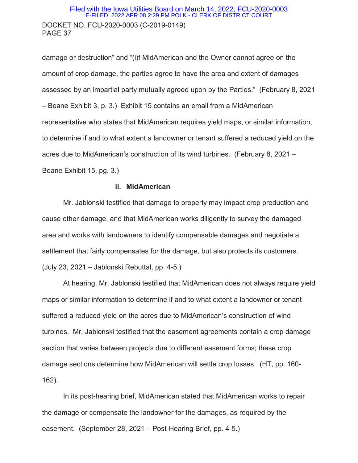### DOCKET NO. FCU-2020-0003 (C-2019-0149) PAGE 37 Filed with the Iowa Utilities Board on March 14, 2022, FCU-2020-0003 E-FILED 2022 APR 08 2:29 PM POLK - CLERK OF DISTRICT COURT

damage or destruction" and "(i)f MidAmerican and the Owner cannot agree on the amount of crop damage, the parties agree to have the area and extent of damages assessed by an impartial party mutually agreed upon by the Parties." (February 8, 2021 – Beane Exhibit 3, p. 3.) Exhibit 15 contains an email from a MidAmerican representative who states that MidAmerican requires yield maps, or similar information, to determine if and to what extent a landowner or tenant suffered a reduced yield on the acres due to MidAmerican's construction of its wind turbines. (February 8, 2021 – Beane Exhibit 15, pg. 3.)

### **ii. MidAmerican**

Mr. Jablonski testified that damage to property may impact crop production and cause other damage, and that MidAmerican works diligently to survey the damaged area and works with landowners to identify compensable damages and negotiate a settlement that fairly compensates for the damage, but also protects its customers. (July 23, 2021 – Jablonski Rebuttal, pp. 4-5.)

At hearing, Mr. Jablonski testified that MidAmerican does not always require yield maps or similar information to determine if and to what extent a landowner or tenant suffered a reduced yield on the acres due to MidAmerican's construction of wind turbines. Mr. Jablonski testified that the easement agreements contain a crop damage section that varies between projects due to different easement forms; these crop damage sections determine how MidAmerican will settle crop losses. (HT, pp. 160- 162).

 In its post-hearing brief, MidAmerican stated that MidAmerican works to repair the damage or compensate the landowner for the damages, as required by the easement. (September 28, 2021 – Post-Hearing Brief, pp. 4-5.)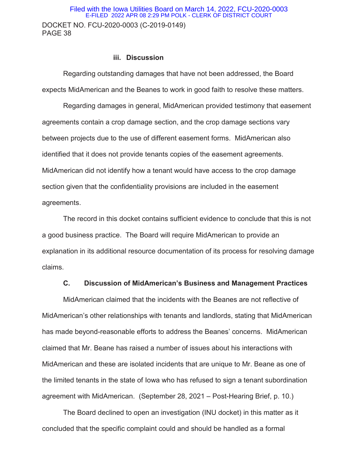# DOCKET NO. FCU-2020-0003 (C-2019-0149) PAGE 38 Filed with the Iowa Utilities Board on March 14, 2022, FCU-2020-0003 E-FILED 2022 APR 08 2:29 PM POLK - CLERK OF DISTRICT COURT

### **iii. Discussion**

Regarding outstanding damages that have not been addressed, the Board expects MidAmerican and the Beanes to work in good faith to resolve these matters.

Regarding damages in general, MidAmerican provided testimony that easement agreements contain a crop damage section, and the crop damage sections vary between projects due to the use of different easement forms. MidAmerican also identified that it does not provide tenants copies of the easement agreements. MidAmerican did not identify how a tenant would have access to the crop damage section given that the confidentiality provisions are included in the easement agreements.

The record in this docket contains sufficient evidence to conclude that this is not a good business practice. The Board will require MidAmerican to provide an explanation in its additional resource documentation of its process for resolving damage claims.

# **C. Discussion of MidAmerican's Business and Management Practices**

MidAmerican claimed that the incidents with the Beanes are not reflective of MidAmerican's other relationships with tenants and landlords, stating that MidAmerican has made beyond-reasonable efforts to address the Beanes' concerns. MidAmerican claimed that Mr. Beane has raised a number of issues about his interactions with MidAmerican and these are isolated incidents that are unique to Mr. Beane as one of the limited tenants in the state of Iowa who has refused to sign a tenant subordination agreement with MidAmerican. (September 28, 2021 – Post-Hearing Brief, p. 10.)

The Board declined to open an investigation (INU docket) in this matter as it concluded that the specific complaint could and should be handled as a formal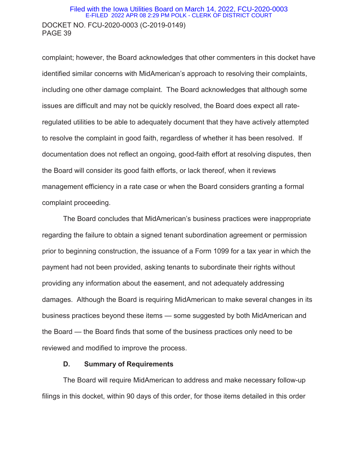### DOCKET NO. FCU-2020-0003 (C-2019-0149) PAGE 39 Filed with the Iowa Utilities Board on March 14, 2022, FCU-2020-0003 E-FILED 2022 APR 08 2:29 PM POLK - CLERK OF DISTRICT COURT

complaint; however, the Board acknowledges that other commenters in this docket have identified similar concerns with MidAmerican's approach to resolving their complaints, including one other damage complaint. The Board acknowledges that although some issues are difficult and may not be quickly resolved, the Board does expect all rateregulated utilities to be able to adequately document that they have actively attempted to resolve the complaint in good faith, regardless of whether it has been resolved. If documentation does not reflect an ongoing, good-faith effort at resolving disputes, then the Board will consider its good faith efforts, or lack thereof, when it reviews management efficiency in a rate case or when the Board considers granting a formal complaint proceeding.

The Board concludes that MidAmerican's business practices were inappropriate regarding the failure to obtain a signed tenant subordination agreement or permission prior to beginning construction, the issuance of a Form 1099 for a tax year in which the payment had not been provided, asking tenants to subordinate their rights without providing any information about the easement, and not adequately addressing damages. Although the Board is requiring MidAmerican to make several changes in its business practices beyond these items — some suggested by both MidAmerican and the Board — the Board finds that some of the business practices only need to be reviewed and modified to improve the process.

#### **D. Summary of Requirements**

 The Board will require MidAmerican to address and make necessary follow-up filings in this docket, within 90 days of this order, for those items detailed in this order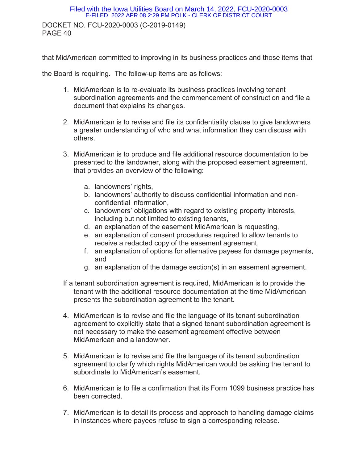# DOCKET NO. FCU-2020-0003 (C-2019-0149) PAGE 40 Filed with the Iowa Utilities Board on March 14, 2022, FCU-2020-0003 E-FILED 2022 APR 08 2:29 PM POLK - CLERK OF DISTRICT COURT

that MidAmerican committed to improving in its business practices and those items that

the Board is requiring. The follow-up items are as follows:

- 1. MidAmerican is to re-evaluate its business practices involving tenant subordination agreements and the commencement of construction and file a document that explains its changes.
- 2. MidAmerican is to revise and file its confidentiality clause to give landowners a greater understanding of who and what information they can discuss with others.
- 3. MidAmerican is to produce and file additional resource documentation to be presented to the landowner, along with the proposed easement agreement, that provides an overview of the following:
	- a. landowners' rights,
	- b. landowners' authority to discuss confidential information and nonconfidential information,
	- c. landowners' obligations with regard to existing property interests, including but not limited to existing tenants,
	- d. an explanation of the easement MidAmerican is requesting,
	- e. an explanation of consent procedures required to allow tenants to receive a redacted copy of the easement agreement,
	- f. an explanation of options for alternative payees for damage payments, and
	- g. an explanation of the damage section(s) in an easement agreement.
- If a tenant subordination agreement is required, MidAmerican is to provide the tenant with the additional resource documentation at the time MidAmerican presents the subordination agreement to the tenant.
- 4. MidAmerican is to revise and file the language of its tenant subordination agreement to explicitly state that a signed tenant subordination agreement is not necessary to make the easement agreement effective between MidAmerican and a landowner.
- 5. MidAmerican is to revise and file the language of its tenant subordination agreement to clarify which rights MidAmerican would be asking the tenant to subordinate to MidAmerican's easement.
- 6. MidAmerican is to file a confirmation that its Form 1099 business practice has been corrected.
- 7. MidAmerican is to detail its process and approach to handling damage claims in instances where payees refuse to sign a corresponding release.